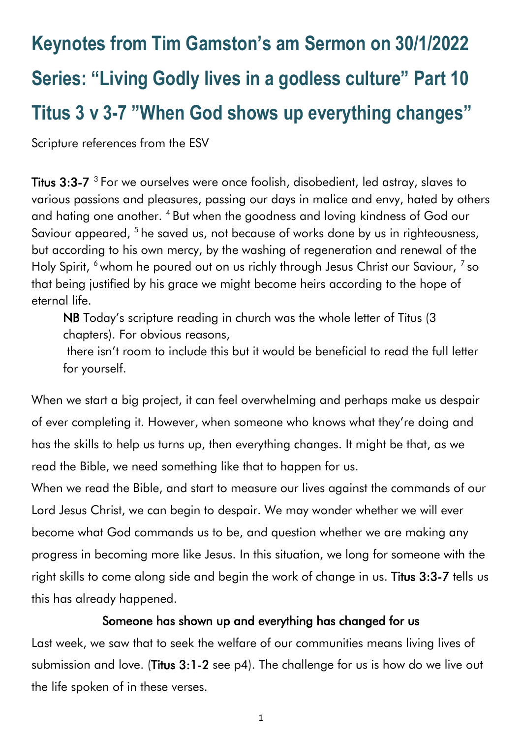# **Keynotes from Tim Gamston's am Sermon on 30/1/2022 Series: "Living Godly lives in a godless culture" Part 10 Titus 3 v 3-7 "When God shows up everything changes"**

Scripture references from the ESV

**Titus 3:3-7**  $^3$  For we ourselves were once foolish, disobedient, led astray, slaves to various passions and pleasures, passing our days in malice and envy, hated by others and hating one another. <sup>4</sup> But when the goodness and loving kindness of God our Saviour appeared, <sup>5</sup> he saved us, not because of works done by us in righteousness, but according to his own mercy, by the washing of regeneration and renewal of the Holy Spirit, <sup>6</sup> whom he poured out on us richly through Jesus Christ our Saviour, <sup>7</sup> so that being justified by his grace we might become heirs according to the hope of eternal life.

NB Today's scripture reading in church was the whole letter of Titus (3 chapters). For obvious reasons,

there isn't room to include this but it would be beneficial to read the full letter for yourself.

When we start a big project, it can feel overwhelming and perhaps make us despair of ever completing it. However, when someone who knows what they're doing and has the skills to help us turns up, then everything changes. It might be that, as we read the Bible, we need something like that to happen for us.

When we read the Bible, and start to measure our lives against the commands of our Lord Jesus Christ, we can begin to despair. We may wonder whether we will ever become what God commands us to be, and question whether we are making any progress in becoming more like Jesus. In this situation, we long for someone with the right skills to come along side and begin the work of change in us. Titus 3:3-7 tells us this has already happened.

## Someone has shown up and everything has changed for us

Last week, we saw that to seek the welfare of our communities means living lives of submission and love. (Titus 3:1-2 see p4). The challenge for us is how do we live out the life spoken of in these verses.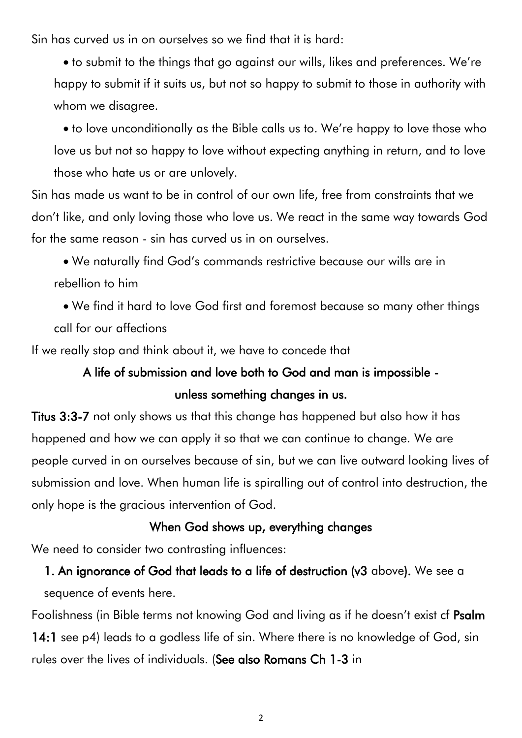Sin has curved us in on ourselves so we find that it is hard:

• to submit to the things that go against our wills, likes and preferences. We're happy to submit if it suits us, but not so happy to submit to those in authority with whom we disagree.

• to love unconditionally as the Bible calls us to. We're happy to love those who love us but not so happy to love without expecting anything in return, and to love those who hate us or are unlovely.

Sin has made us want to be in control of our own life, free from constraints that we don't like, and only loving those who love us. We react in the same way towards God for the same reason - sin has curved us in on ourselves.

• We naturally find God's commands restrictive because our wills are in rebellion to him

• We find it hard to love God first and foremost because so many other things call for our affections

If we really stop and think about it, we have to concede that

# A life of submission and love both to God and man is impossible unless something changes in us.

Titus 3:3-7 not only shows us that this change has happened but also how it has happened and how we can apply it so that we can continue to change. We are people curved in on ourselves because of sin, but we can live outward looking lives of submission and love. When human life is spiralling out of control into destruction, the only hope is the gracious intervention of God.

#### When God shows up, everything changes

We need to consider two contrasting influences:

1. An ignorance of God that leads to a life of destruction (v3 above). We see a sequence of events here.

Foolishness (in Bible terms not knowing God and living as if he doesn't exist cf Psalm 14:1 see p4) leads to a godless life of sin. Where there is no knowledge of God, sin rules over the lives of individuals. (See also Romans Ch 1-3 in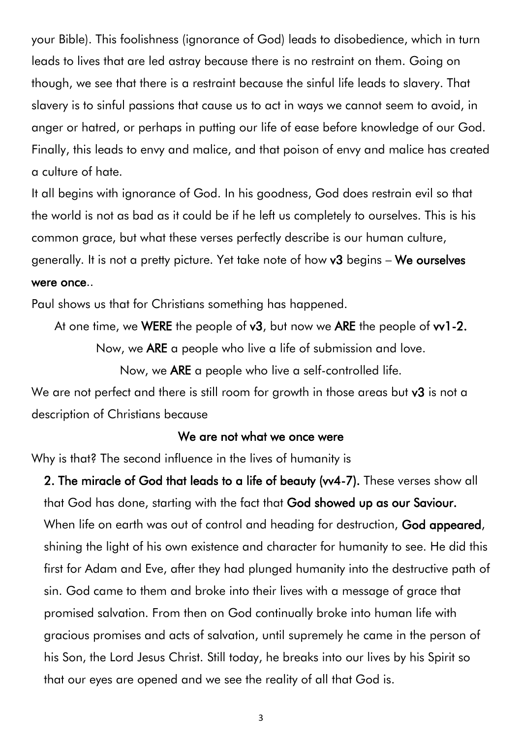your Bible). This foolishness (ignorance of God) leads to disobedience, which in turn leads to lives that are led astray because there is no restraint on them. Going on though, we see that there is a restraint because the sinful life leads to slavery. That slavery is to sinful passions that cause us to act in ways we cannot seem to avoid, in anger or hatred, or perhaps in putting our life of ease before knowledge of our God. Finally, this leads to envy and malice, and that poison of envy and malice has created a culture of hate.

It all begins with ignorance of God. In his goodness, God does restrain evil so that the world is not as bad as it could be if he left us completely to ourselves. This is his common grace, but what these verses perfectly describe is our human culture, generally. It is not a pretty picture. Yet take note of how v3 begins – We ourselves were once..

Paul shows us that for Christians something has happened.

At one time, we WERE the people of  $v3$ , but now we ARE the people of  $v1-2$ .

Now, we ARE a people who live a life of submission and love.

Now, we ARE a people who live a self-controlled life.

We are not perfect and there is still room for growth in those areas but v3 is not a description of Christians because

#### We are not what we once were

Why is that? The second influence in the lives of humanity is

2. The miracle of God that leads to a life of beauty (vv4-7). These verses show all that God has done, starting with the fact that God showed up as our Saviour. When life on earth was out of control and heading for destruction, God appeared, shining the light of his own existence and character for humanity to see. He did this first for Adam and Eve, after they had plunged humanity into the destructive path of sin. God came to them and broke into their lives with a message of grace that promised salvation. From then on God continually broke into human life with gracious promises and acts of salvation, until supremely he came in the person of his Son, the Lord Jesus Christ. Still today, he breaks into our lives by his Spirit so that our eyes are opened and we see the reality of all that God is.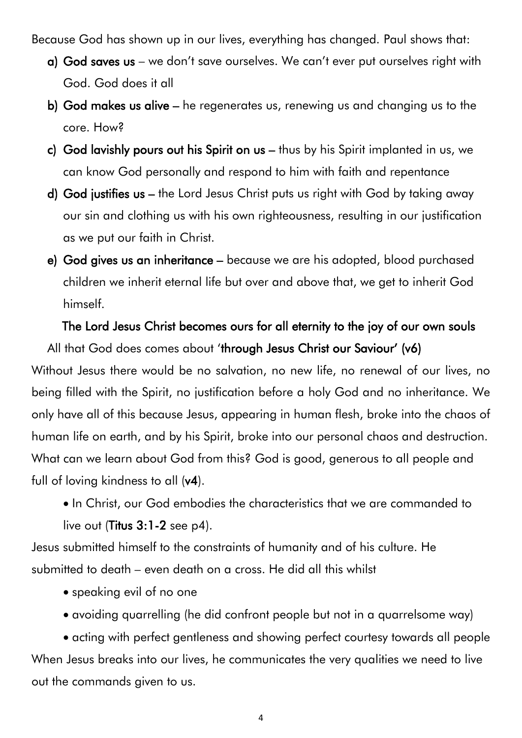Because God has shown up in our lives, everything has changed. Paul shows that:

- a) God saves us we don't save ourselves. We can't ever put ourselves right with God. God does it all
- b) God makes us alive he regenerates us, renewing us and changing us to the core. How?
- c) God lavishly pours out his Spirit on us thus by his Spirit implanted in us, we can know God personally and respond to him with faith and repentance
- d) God justifies us the Lord Jesus Christ puts us right with God by taking away our sin and clothing us with his own righteousness, resulting in our justification as we put our faith in Christ.
- e) God gives us an inheritance because we are his adopted, blood purchased children we inherit eternal life but over and above that, we get to inherit God himself.

# The Lord Jesus Christ becomes ours for all eternity to the joy of our own souls

All that God does comes about 'through Jesus Christ our Saviour' (v6) Without Jesus there would be no salvation, no new life, no renewal of our lives, no being filled with the Spirit, no justification before a holy God and no inheritance. We only have all of this because Jesus, appearing in human flesh, broke into the chaos of human life on earth, and by his Spirit, broke into our personal chaos and destruction. What can we learn about God from this? God is good, generous to all people and full of loving kindness to all (v4).

• In Christ, our God embodies the characteristics that we are commanded to live out (Titus 3:1-2 see p4).

Jesus submitted himself to the constraints of humanity and of his culture. He submitted to death – even death on a cross. He did all this whilst

- speaking evil of no one
- avoiding quarrelling (he did confront people but not in a quarrelsome way)

• acting with perfect gentleness and showing perfect courtesy towards all people When Jesus breaks into our lives, he communicates the very qualities we need to live out the commands given to us.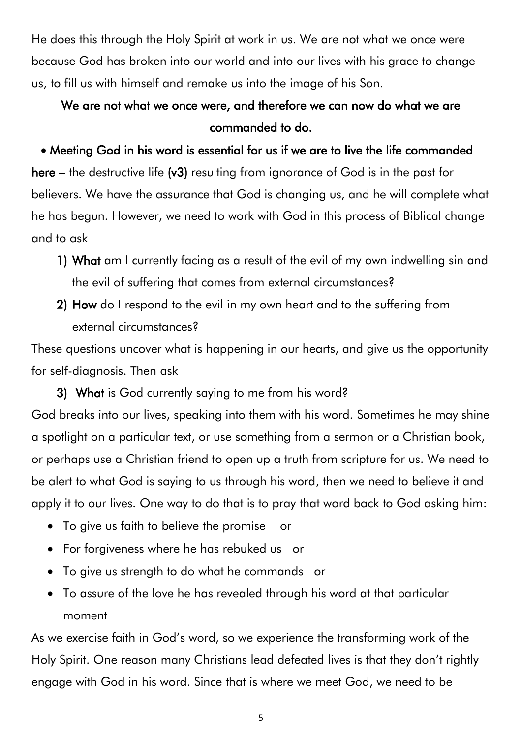He does this through the Holy Spirit at work in us. We are not what we once were because God has broken into our world and into our lives with his grace to change us, to fill us with himself and remake us into the image of his Son.

# We are not what we once were, and therefore we can now do what we are commanded to do.

## • Meeting God in his word is essential for us if we are to live the life commanded

here – the destructive life (v3) resulting from ignorance of God is in the past for believers. We have the assurance that God is changing us, and he will complete what he has begun. However, we need to work with God in this process of Biblical change and to ask

- 1) What am I currently facing as a result of the evil of my own indwelling sin and the evil of suffering that comes from external circumstances?
- 2) How do I respond to the evil in my own heart and to the suffering from external circumstances?

These questions uncover what is happening in our hearts, and give us the opportunity for self-diagnosis. Then ask

3) What is God currently saying to me from his word? God breaks into our lives, speaking into them with his word. Sometimes he may shine a spotlight on a particular text, or use something from a sermon or a Christian book, or perhaps use a Christian friend to open up a truth from scripture for us. We need to be alert to what God is saying to us through his word, then we need to believe it and apply it to our lives. One way to do that is to pray that word back to God asking him:

- To give us faith to believe the promise or
- For forgiveness where he has rebuked us or
- To give us strength to do what he commands or
- To assure of the love he has revealed through his word at that particular moment

As we exercise faith in God's word, so we experience the transforming work of the Holy Spirit. One reason many Christians lead defeated lives is that they don't rightly engage with God in his word. Since that is where we meet God, we need to be